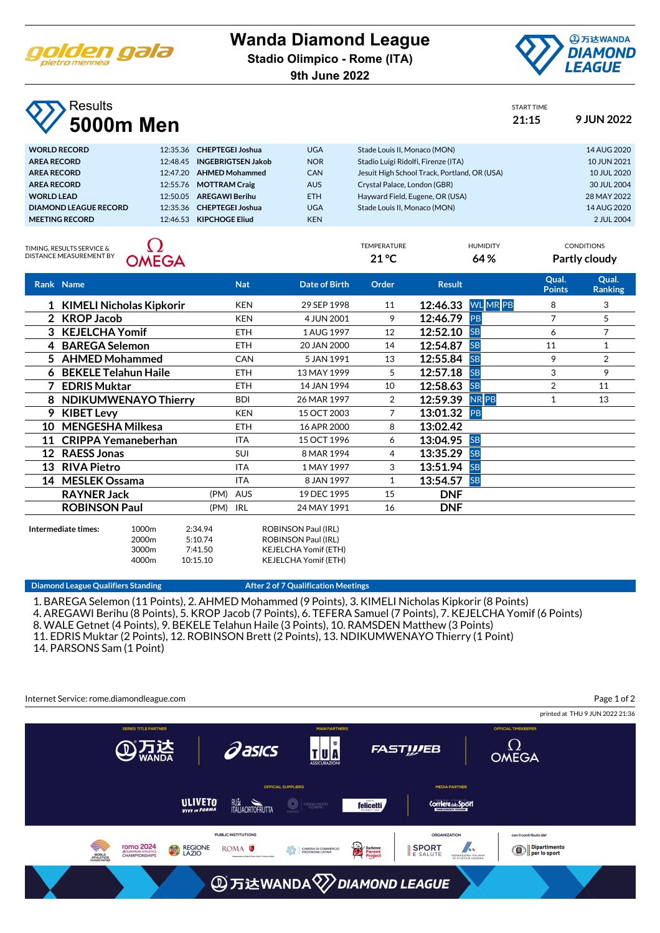

## **Wanda Diamond League**

**Stadio Olimpico - Rome (ITA)**

**9th June 2022**



START TIME

TEMPERATURE HUMIDITY CONDITIONS **21 °C 64 % Partly cloudy**

## **Results 5000m Men 21:15 9 JUN 2022**

| <b>WORLD RECORD</b>   | 12:35.36 CHEPTEGEI Joshua   | <b>UGA</b> | Stade Louis II. Monaco (MON)                 | 14 AUG 2020 |
|-----------------------|-----------------------------|------------|----------------------------------------------|-------------|
| <b>AREA RECORD</b>    | 12:48.45 INGEBRIGTSEN Jakob | <b>NOR</b> | Stadio Luigi Ridolfi, Firenze (ITA)          | 10 JUN 2021 |
| <b>AREA RECORD</b>    | 12:47.20 AHMED Mohammed     | <b>CAN</b> | Jesuit High School Track, Portland, OR (USA) | 10 JUL 2020 |
| <b>AREA RECORD</b>    | 12:55.76 MOTTRAM Craig      | <b>AUS</b> | Crystal Palace, London (GBR)                 | 30 JUL 2004 |
| <b>WORLD LEAD</b>     | 12:50.05 AREGAWI Berihu     | <b>ETH</b> | Hayward Field, Eugene, OR (USA)              | 28 MAY 2022 |
| DIAMOND LEAGUE RECORD | 12:35.36 CHEPTEGEI Joshua   | <b>UGA</b> | Stade Louis II. Monaco (MON)                 | 14 AUG 2020 |
| <b>MEETING RECORD</b> | 12:46.53 KIPCHOGE Eliud     | <b>KEN</b> |                                              | 2 JUL 2004  |
|                       |                             |            |                                              |             |

TIMING, RESULTS SERVICE & DISTANCE MEASUREMENT BY



|    | Rank Name                  |          | <b>Nat</b> | Date of Birth | Order          | <b>Result</b> |                   | Qual.<br><b>Points</b> | Qual.<br><b>Ranking</b> |
|----|----------------------------|----------|------------|---------------|----------------|---------------|-------------------|------------------------|-------------------------|
|    | 1 KIMELI Nicholas Kipkorir |          | <b>KEN</b> | 29 SEP 1998   | 11             |               | 12:46.33 WL MR PB | 8                      | 3                       |
|    | 2 KROP Jacob               |          | <b>KEN</b> | 4 JUN 2001    | 9              | 12:46.79      | PB                | 7                      | 5                       |
|    | 3 KEJELCHA Yomif           |          | <b>ETH</b> | 1 AUG 1997    | 12             | 12:52.10      | <b>SB</b>         | 6                      | 7                       |
|    | 4 BAREGA Selemon           |          | <b>ETH</b> | 20 JAN 2000   | 14             | 12:54.87      | <b>SB</b>         | 11                     |                         |
|    | 5 AHMED Mohammed           |          | <b>CAN</b> | 5 JAN 1991    | 13             | 12:55.84      | <b>SB</b>         | 9                      | 2                       |
|    | 6 BEKELE Telahun Haile     |          | <b>ETH</b> | 13 MAY 1999   | 5              | 12:57.18      | <b>SB</b>         | 3                      | 9                       |
|    | <b>EDRIS Muktar</b>        |          | <b>ETH</b> | 14 JAN 1994   | 10             | 12:58.63      | <b>SB</b>         | 2                      | 11                      |
|    | 8 NDIKUMWENAYO Thierry     |          | <b>BDI</b> | 26 MAR 1997   | $\overline{2}$ | 12:59.39      | <b>NRPB</b>       | 1                      | 13                      |
|    | 9 KIBET Levy               |          | <b>KEN</b> | 15 OCT 2003   | 7              | 13:01.32 PB   |                   |                        |                         |
| 10 | <b>MENGESHA Milkesa</b>    |          | <b>ETH</b> | 16 APR 2000   | 8              | 13:02.42      |                   |                        |                         |
| 11 | <b>CRIPPA Yemaneberhan</b> |          | <b>ITA</b> | 15 OCT 1996   | 6              | 13:04.95 SB   |                   |                        |                         |
| 12 | <b>RAESS Jonas</b>         |          | <b>SUI</b> | 8 MAR 1994    | 4              | 13:35.29      | <b>SB</b>         |                        |                         |
| 13 | <b>RIVA Pietro</b>         |          | <b>ITA</b> | 1 MAY 1997    | 3              | 13:51.94      | <b>SB</b>         |                        |                         |
|    | 14 MESLEK Ossama           |          | <b>ITA</b> | 8 JAN 1997    | 1              | 13:54.57      | <b>SB</b>         |                        |                         |
|    | <b>RAYNER Jack</b>         | (PM) AUS |            | 19 DEC 1995   | 15             | <b>DNF</b>    |                   |                        |                         |
|    | <b>ROBINSON Paul</b>       | (PM) IRL |            | 24 MAY 1991   | 16             | <b>DNF</b>    |                   |                        |                         |
|    |                            |          |            |               |                |               |                   |                        |                         |



**Intermediate times:** 1000m 2:34.94 ROBINSON Paul (IRL) 2000m 5:10.74 ROBINSON Paul (IRL) 3000m 7:41.50 KEJELCHA Yomif (ETH) 4000m 10:15.10 KEJELCHA Yomif (ETH)

## **Diamond League Qualifiers Standing The Constraint Constraint After 2 of 7 Qualification Meetings**

1. BAREGA Selemon (11 Points), 2. AHMED Mohammed (9 Points), 3. KIMELI Nicholas Kipkorir (8 Points) 4. AREGAWI Berihu (8 Points), 5. KROP Jacob (7 Points), 6. TEFERA Samuel (7 Points), 7. KEJELCHA Yomif (6 Points) 8. WALE Getnet (4 Points), 9. BEKELE Telahun Haile (3 Points), 10. RAMSDEN Matthew (3 Points) 11. EDRIS Muktar (2 Points), 12. ROBINSON Brett (2 Points), 13. NDIKUMWENAYO Thierry (1 Point) 14. PARSONS Sam (1 Point)